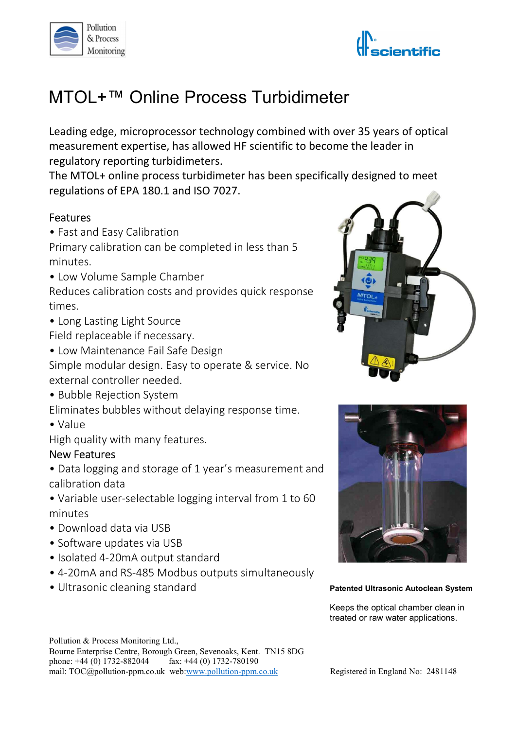



# MTOL+™ Online Process Turbidimeter

Leading edge, microprocessor technology combined with over 35 years of optical measurement expertise, has allowed HF scientific to become the leader in regulatory reporting turbidimeters.

The MTOL+ online process turbidimeter has been specifically designed to meet regulations of EPA 180.1 and ISO 7027.

#### Features

• Fast and Easy Calibration

Primary calibration can be completed in less than 5 minutes.

• Low Volume Sample Chamber

Reduces calibration costs and provides quick response times.

• Long Lasting Light Source

Field replaceable if necessary.

• Low Maintenance Fail Safe Design

Simple modular design. Easy to operate & service. No external controller needed.

• Bubble Rejection System

Eliminates bubbles without delaying response time.

• Value

High quality with many features.

## New Features

• Data logging and storage of 1 year's measurement and calibration data

• Variable user-selectable logging interval from 1 to 60 minutes

- Download data via USB
- Software updates via USB
- Isolated 4-20mA output standard
- 4-20mA and RS-485 Modbus outputs simultaneously
- 









Keeps the optical chamber clean in treated or raw water applications.